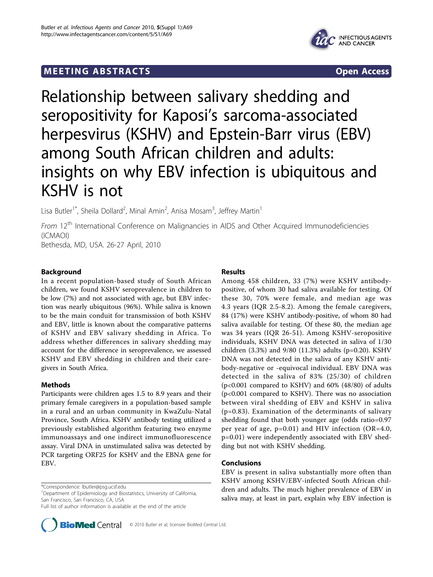# **MEETING ABSTRACTS** And the state of the state of the state of the state of the state of the state of the state of the state of the state of the state of the state of the state of the state of the state of the state of the



# Relationship between salivary shedding and seropositivity for Kaposi's sarcoma-associated herpesvirus (KSHV) and Epstein-Barr virus (EBV) among South African children and adults: insights on why EBV infection is ubiquitous and KSHV is not

Lisa Butler<sup>1\*</sup>, Sheila Dollard<sup>2</sup>, Minal Amin<sup>2</sup>, Anisa Mosam<sup>3</sup>, Jeffrey Martin<sup>1</sup>

From 12<sup>th</sup> International Conference on Malignancies in AIDS and Other Acquired Immunodeficiencies (ICMAOI)

Bethesda, MD, USA. 26-27 April, 2010

# Background

In a recent population-based study of South African children, we found KSHV seroprevalence in children to be low (7%) and not associated with age, but EBV infection was nearly ubiquitous (96%). While saliva is known to be the main conduit for transmission of both KSHV and EBV, little is known about the comparative patterns of KSHV and EBV salivary shedding in Africa. To address whether differences in salivary shedding may account for the difference in seroprevalence, we assessed KSHV and EBV shedding in children and their caregivers in South Africa.

# Methods

Participants were children ages 1.5 to 8.9 years and their primary female caregivers in a population-based sample in a rural and an urban community in KwaZulu-Natal Province, South Africa. KSHV antibody testing utilized a previously established algorithm featuring two enzyme immunoassays and one indirect immunofluorescence assay. Viral DNA in unstimulated saliva was detected by PCR targeting ORF25 for KSHV and the EBNA gene for EBV.

\*Correspondence: [lbutler@psg.ucsf.edu](mailto:lbutler@psg.ucsf.edu)

<sup>1</sup>Department of Epidemiology and Biostatistics, University of California, San Francisco, San Francisco, CA, USA

Full list of author information is available at the end of the article



### Results

Among 458 children, 33 (7%) were KSHV antibodypositive, of whom 30 had saliva available for testing. Of these 30, 70% were female, and median age was 4.3 years (IQR 2.5-8.2). Among the female caregivers, 84 (17%) were KSHV antibody-positive, of whom 80 had saliva available for testing. Of these 80, the median age was 34 years (IQR 26-51). Among KSHV-seropositive individuals, KSHV DNA was detected in saliva of 1/30 children (3.3%) and 9/80 (11.3%) adults (p=0.20). KSHV DNA was not detected in the saliva of any KSHV antibody-negative or -equivocal individual. EBV DNA was detected in the saliva of 83% (25/30) of children (p<0.001 compared to KSHV) and 60% (48/80) of adults (p<0.001 compared to KSHV). There was no association between viral shedding of EBV and KSHV in saliva (p=0.83). Examination of the determinants of salivary shedding found that both younger age (odds ratio=0.97 per year of age, p=0.01) and HIV infection (OR=4.0, p=0.01) were independently associated with EBV shedding but not with KSHV shedding.

### Conclusions

EBV is present in saliva substantially more often than KSHV among KSHV/EBV-infected South African children and adults. The much higher prevalence of EBV in saliva may, at least in part, explain why EBV infection is